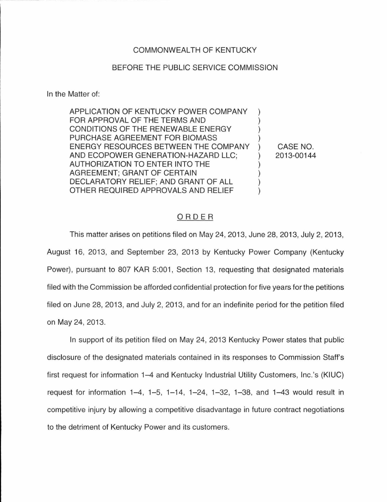## COMMONWEAL TH OF KENTUCKY

## BEFORE THE PUBLIC SERVICE COMMISSION

In the Matter of:

APPLICATION OF KENTUCKY POWER COMPANY FOR APPROVAL OF THE TERMS AND CONDITIONS OF THE RENEWABLE ENERGY PURCHASE AGREEMENT FOR BIOMASS ENERGY RESOURCES BETWEEN THE COMPANY AND ECOPOWER GENERATION-HAZARD LLC;  $\mathcal{L}$ AUTHORIZATION TO ENTER INTO THE AGREEMENT; GRANT OF CERTAIN DECLARATORY RELIEF; AND GRANT OF ALL OTHER REQUIRED APPROVALS AND RELIEF

CASE NO. 2013-00144

## ORDER

This matter arises on petitions filed on May 24, 2013, June 28, 2013, July 2, 2013, August 16, 2013, and September 23, 2013 by Kentucky Power Company (Kentucky Power), pursuant to 807 KAR 5:001, Section 13, requesting that designated materials filed with the Commission be afforded confidential protection for five years for the petitions filed on June 28, 2013, and July 2, 2013, and for an indefinite period for the petition filed on May 24, 2013.

In support of its petition filed on May 24, 2013 Kentucky Power states that public disclosure of the designated materials contained in its responses to Commission Staff's first request for information 1-4 and Kentucky Industrial Utility Customers, lnc.'s (KIUC) request for information  $1-4$ ,  $1-5$ ,  $1-14$ ,  $1-24$ ,  $1-32$ ,  $1-38$ , and  $1-43$  would result in competitive injury by allowing a competitive disadvantage in future contract negotiations to the detriment of Kentucky Power and its customers.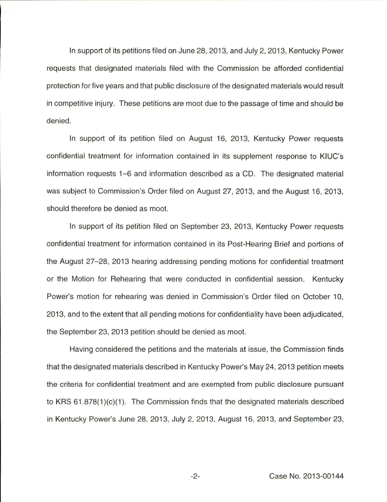In support of its petitions filed on June 28, 2013, and July 2, 2013, Kentucky Power requests that designated materials filed with the Commission be afforded confidential protection for five years and that public disclosure of the designated materials would result in competitive injury. These petitions are moot due to the passage of time and should be denied.

In support of its petition filed on August 16, 2013, Kentucky Power requests confidential treatment for information contained in its supplement response to KIUC's information requests 1-6 and information described as a CD. The designated material was subject to Commission's Order filed on August 27, 2013, and the August 16, 2013, should therefore be denied as moot.

In support of its petition filed on September 23, 2013, Kentucky Power requests confidential treatment for information contained in its Post-Hearing Brief and portions of the August 27-28, 2013 hearing addressing pending motions for confidential treatment or the Motion for Rehearing that were conducted in confidential session. Kentucky Power's motion for rehearing was denied in Commission's Order filed on October 10, 2013, and to the extent that all pending motions for confidentiality have been adjudicated, the September 23, 2013 petition should be denied as moot.

Having considered the petitions and the materials at issue, the Commission finds that the designated materials described in Kentucky Power's May 24, 2013 petition meets the criteria for confidential treatment and are exempted from public disclosure pursuant to KRS 61.878(1 )(c)(1 ). The Commission finds that the designated materials described in Kentucky Power's June 28, 2013, July 2, 2013, August 16, 2013, and September 23,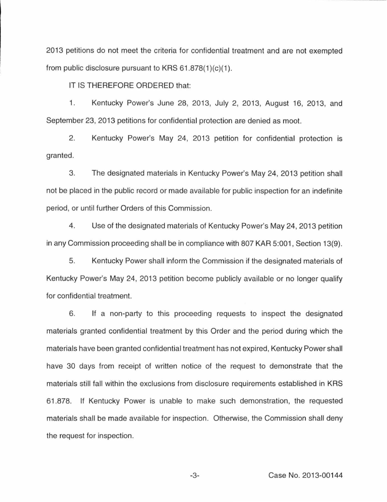2013 petitions do not meet the criteria for confidential treatment and are not exempted from public disclosure pursuant to KRS 61.878(1)(c)(1).

IT IS THEREFORE ORDERED that:

1. Kentucky Power's June 28, 2013, July 2, 2013, August 16, 2013, and September 23, 2013 petitions for confidential protection are denied as moot.

2. Kentucky Power's May 24, 2013 petition for confidential protection is granted.

3. The designated materials in Kentucky Power's May 24, 2013 petition shall not be placed in the public record or made available for public inspection for an indefinite period, or until further Orders of this Commission.

4. Use of the designated materials of Kentucky Power's May 24, 2013 petition in any Commission proceeding shall be in compliance with 807 KAR 5:001, Section 13(9).

5. Kentucky Power shall inform the Commission if the designated materials of Kentucky Power's May 24, 2013 petition become publicly available or no longer qualify for confidential treatment.

6. If a non-party to this proceeding requests to inspect the designated materials granted confidential treatment by this Order and the period during which the materials have been granted confidential treatment has not expired, Kentucky Power shall have 30 days from receipt of written notice of the request to demonstrate that the materials still fall within the exclusions from disclosure requirements established in KRS 61.878. If Kentucky Power is unable to make such demonstration, the requested materials shall be made available for inspection. Otherwise, the Commission shall deny the request for inspection.

-3- Case No. 2013-00144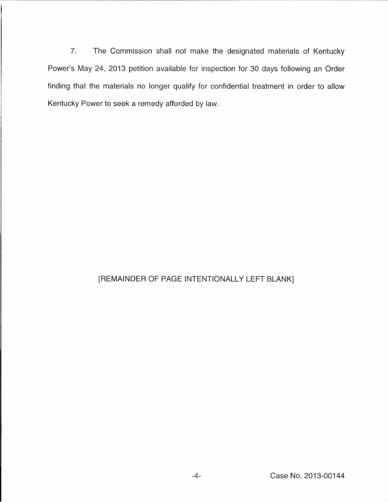7. The Commission shall not make the designated materials of Kentucky Power's May 24, 2013 petition available for inspection for 30 days following an Order finding that the materials no longer qualify for confidential treatment in order to allow Kentucky Power to seek a remedy afforded by law.

## [REMAINDER OF PAGE INTENTIONALLY LEFT BLANK]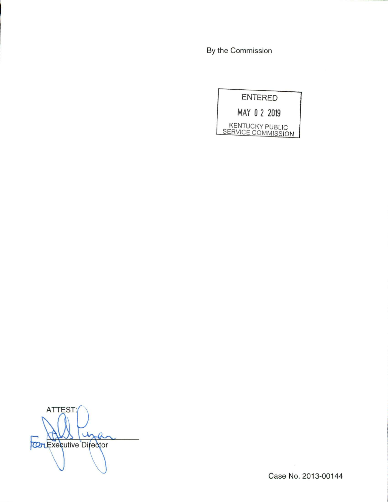By the Commission

**ENTERED** 

MAY 0 2 2019

KENTUCKY PUBLIC<br>SERVICE COMMISSION

ATTEST: in  $\mathcal{A}$ **COLExecutive Director** 

Case No. 2013-00144